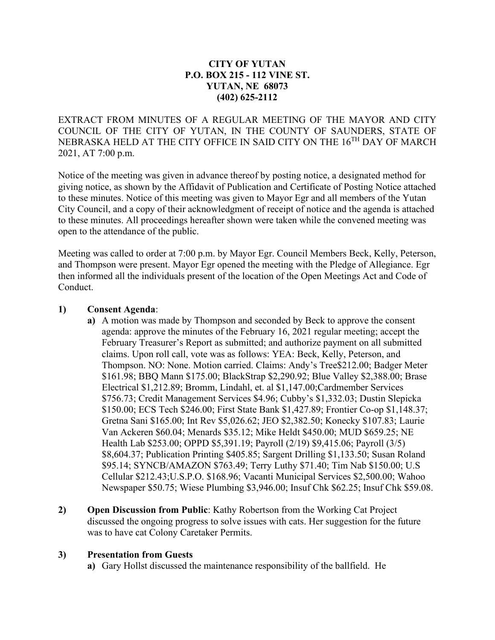#### **CITY OF YUTAN P.O. BOX 215 - 112 VINE ST. YUTAN, NE 68073 (402) 625-2112**

EXTRACT FROM MINUTES OF A REGULAR MEETING OF THE MAYOR AND CITY COUNCIL OF THE CITY OF YUTAN, IN THE COUNTY OF SAUNDERS, STATE OF NEBRASKA HELD AT THE CITY OFFICE IN SAID CITY ON THE 16TH DAY OF MARCH 2021, AT 7:00 p.m.

Notice of the meeting was given in advance thereof by posting notice, a designated method for giving notice, as shown by the Affidavit of Publication and Certificate of Posting Notice attached to these minutes. Notice of this meeting was given to Mayor Egr and all members of the Yutan City Council, and a copy of their acknowledgment of receipt of notice and the agenda is attached to these minutes. All proceedings hereafter shown were taken while the convened meeting was open to the attendance of the public.

Meeting was called to order at 7:00 p.m. by Mayor Egr. Council Members Beck, Kelly, Peterson, and Thompson were present. Mayor Egr opened the meeting with the Pledge of Allegiance. Egr then informed all the individuals present of the location of the Open Meetings Act and Code of Conduct.

#### **1) Consent Agenda**:

- **a)** A motion was made by Thompson and seconded by Beck to approve the consent agenda: approve the minutes of the February 16, 2021 regular meeting; accept the February Treasurer's Report as submitted; and authorize payment on all submitted claims. Upon roll call, vote was as follows: YEA: Beck, Kelly, Peterson, and Thompson. NO: None. Motion carried. Claims: Andy's Tree\$212.00; Badger Meter \$161.98; BBQ Mann \$175.00; BlackStrap \$2,290.92; Blue Valley \$2,388.00; Brase Electrical \$1,212.89; Bromm, Lindahl, et. al \$1,147.00;Cardmember Services \$756.73; Credit Management Services \$4.96; Cubby's \$1,332.03; Dustin Slepicka \$150.00; ECS Tech \$246.00; First State Bank \$1,427.89; Frontier Co-op \$1,148.37; Gretna Sani \$165.00; Int Rev \$5,026.62; JEO \$2,382.50; Konecky \$107.83; Laurie Van Ackeren \$60.04; Menards \$35.12; Mike Heldt \$450.00; MUD \$659.25; NE Health Lab \$253.00; OPPD \$5,391.19; Payroll (2/19) \$9,415.06; Payroll (3/5) \$8,604.37; Publication Printing \$405.85; Sargent Drilling \$1,133.50; Susan Roland \$95.14; SYNCB/AMAZON \$763.49; Terry Luthy \$71.40; Tim Nab \$150.00; U.S Cellular \$212.43;U.S.P.O. \$168.96; Vacanti Municipal Services \$2,500.00; Wahoo Newspaper \$50.75; Wiese Plumbing \$3,946.00; Insuf Chk \$62.25; Insuf Chk \$59.08.
- **2) Open Discussion from Public**: Kathy Robertson from the Working Cat Project discussed the ongoing progress to solve issues with cats. Her suggestion for the future was to have cat Colony Caretaker Permits.

#### **3) Presentation from Guests**

**a)** Gary Hollst discussed the maintenance responsibility of the ballfield. He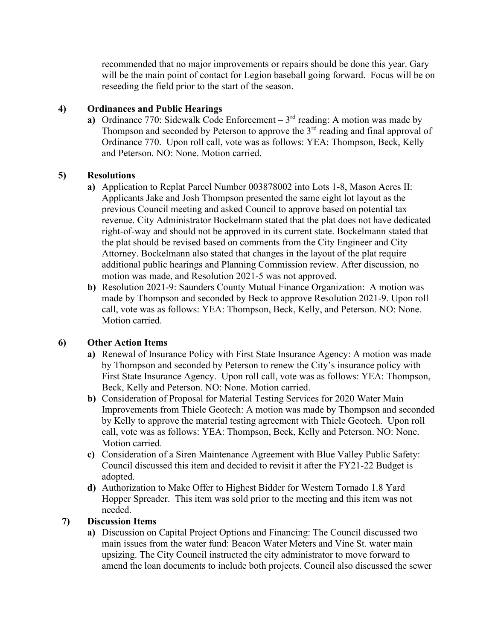recommended that no major improvements or repairs should be done this year. Gary will be the main point of contact for Legion baseball going forward. Focus will be on reseeding the field prior to the start of the season.

## **4) Ordinances and Public Hearings**

**a)** Ordinance 770: Sidewalk Code Enforcement – 3<sup>rd</sup> reading: A motion was made by Thompson and seconded by Peterson to approve the  $3<sup>rd</sup>$  reading and final approval of Ordinance 770. Upon roll call, vote was as follows: YEA: Thompson, Beck, Kelly and Peterson. NO: None. Motion carried.

# **5) Resolutions**

- **a)** Application to Replat Parcel Number 003878002 into Lots 1-8, Mason Acres II: Applicants Jake and Josh Thompson presented the same eight lot layout as the previous Council meeting and asked Council to approve based on potential tax revenue. City Administrator Bockelmann stated that the plat does not have dedicated right-of-way and should not be approved in its current state. Bockelmann stated that the plat should be revised based on comments from the City Engineer and City Attorney. Bockelmann also stated that changes in the layout of the plat require additional public hearings and Planning Commission review. After discussion, no motion was made, and Resolution 2021-5 was not approved.
- **b)** Resolution 2021-9: Saunders County Mutual Finance Organization: A motion was made by Thompson and seconded by Beck to approve Resolution 2021-9. Upon roll call, vote was as follows: YEA: Thompson, Beck, Kelly, and Peterson. NO: None. Motion carried.

# **6) Other Action Items**

- **a)** Renewal of Insurance Policy with First State Insurance Agency: A motion was made by Thompson and seconded by Peterson to renew the City's insurance policy with First State Insurance Agency. Upon roll call, vote was as follows: YEA: Thompson, Beck, Kelly and Peterson. NO: None. Motion carried.
- **b)** Consideration of Proposal for Material Testing Services for 2020 Water Main Improvements from Thiele Geotech: A motion was made by Thompson and seconded by Kelly to approve the material testing agreement with Thiele Geotech. Upon roll call, vote was as follows: YEA: Thompson, Beck, Kelly and Peterson. NO: None. Motion carried.
- **c)** Consideration of a Siren Maintenance Agreement with Blue Valley Public Safety: Council discussed this item and decided to revisit it after the FY21-22 Budget is adopted.
- **d)** Authorization to Make Offer to Highest Bidder for Western Tornado 1.8 Yard Hopper Spreader. This item was sold prior to the meeting and this item was not needed.

# **7) Discussion Items**

**a)** Discussion on Capital Project Options and Financing: The Council discussed two main issues from the water fund: Beacon Water Meters and Vine St. water main upsizing. The City Council instructed the city administrator to move forward to amend the loan documents to include both projects. Council also discussed the sewer